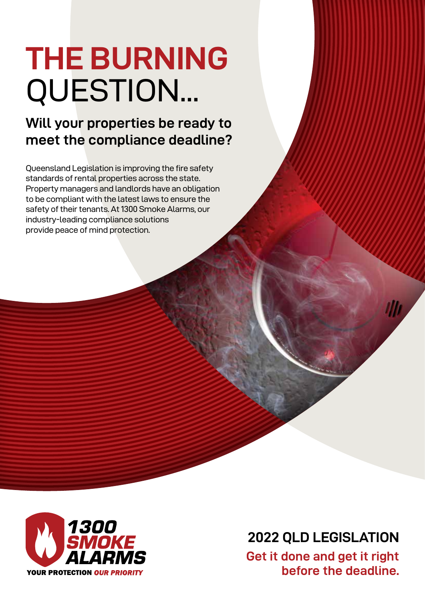# **THE BURNING** QUESTION...

#### **Will your properties be ready to meet the compliance deadline?**

Queensland Legislation is improving the fire safety standards of rental properties across the state. Property managers and landlords have an obligation to be compliant with the latest laws to ensure the safety of their tenants. At 1300 Smoke Alarms, our industry-leading compliance solutions provide peace of mind protection.



**2022 QLD LEGISLATION Get it done and get it right before the deadline.**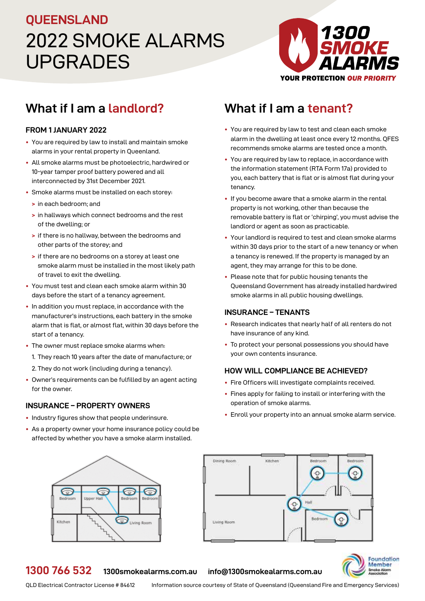### 2022 SMOKE ALARMS UPGRADES **QUEENSLAND**



#### **What if I am a landlord? What if I am a tenant?**

#### **FROM 1 JANUARY 2022**

- **•** You are required by law to install and maintain smoke alarms in your rental property in Queenland.
- **•** All smoke alarms must be photoelectric, hardwired or 10-year tamper proof battery powered and all interconnected by 31st December 2021.
- **•** Smoke alarms must be installed on each storey:
	- **>** in each bedroom; and
	- **>** in hallways which connect bedrooms and the rest of the dwelling; or
	- **>** if there is no hallway, between the bedrooms and other parts of the storey; and
	- **>** if there are no bedrooms on a storey at least one smoke alarm must be installed in the most likely path of travel to exit the dwelling.
- **•** You must test and clean each smoke alarm within 30 days before the start of a tenancy agreement.
- **•** In addition you must replace, in accordance with the manufacturer's instructions, each battery in the smoke alarm that is flat, or almost flat, within 30 days before the start of a tenancy.
- **•** The owner must replace smoke alarms when:
	- 1. They reach 10 years after the date of manufacture; or
	- 2. They do not work (including during a tenancy).
- **•** Owner's requirements can be fulfilled by an agent acting for the owner.

#### **INSURANCE – PROPERTY OWNERS**

- **•** Industry figures show that people underinsure.
- **•** As a property owner your home insurance policy could be affected by whether you have a smoke alarm installed.

- You are required by law to test and clean each smoke alarm in the dwelling at least once every 12 months. QFES recommends smoke alarms are tested once a month.
- You are required by law to replace, in accordance with the information statement (RTA Form 17a) provided to you, each battery that is flat or is almost flat during your tenancy.
- If you become aware that a smoke alarm in the rental property is not working, other than because the removable battery is flat or 'chirping', you must advise the landlord or agent as soon as practicable.
- Your landlord is required to test and clean smoke alarms within 30 days prior to the start of a new tenancy or when a tenancy is renewed. If the property is managed by an agent, they may arrange for this to be done.
- Please note that for public housing tenants the Queensland Government has already installed hardwired smoke alarms in all public housing dwellings.

#### **INSURANCE – TENANTS**

- Research indicates that nearly half of all renters do not have insurance of any kind.
- To protect your personal possessions you should have your own contents insurance.

#### **HOW WILL COMPLIANCE BE ACHIEVED?**

- Fire Officers will investigate complaints received.
- Fines apply for failing to install or interfering with the operation of smoke alarms.
- Enroll your property into an annual smoke alarm service.







#### **1300 766 532 [1300smokealarms.com.au](http://1300smokealarms.com.au) [info@1300smokealarms.com.au](mailto:info%401300smokealarms.com.au?subject=)**